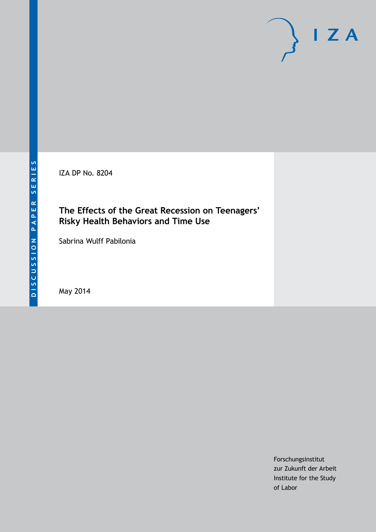IZA DP No. 8204

### **The Effects of the Great Recession on Teenagers' Risky Health Behaviors and Time Use**

Sabrina Wulff Pabilonia

May 2014

Forschungsinstitut zur Zukunft der Arbeit Institute for the Study of Labor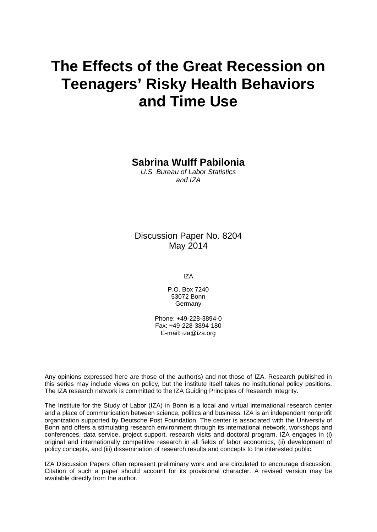# **The Effects of the Great Recession on Teenagers' Risky Health Behaviors and Time Use**

**Sabrina Wulff Pabilonia**

*U.S. Bureau of Labor Statistics and IZA*

Discussion Paper No. 8204 May 2014

IZA

P.O. Box 7240 53072 Bonn Germany

Phone: +49-228-3894-0 Fax: +49-228-3894-180 E-mail: [iza@iza.org](mailto:iza@iza.org)

Any opinions expressed here are those of the author(s) and not those of IZA. Research published in this series may include views on policy, but the institute itself takes no institutional policy positions. The IZA research network is committed to the IZA Guiding Principles of Research Integrity.

The Institute for the Study of Labor (IZA) in Bonn is a local and virtual international research center and a place of communication between science, politics and business. IZA is an independent nonprofit organization supported by Deutsche Post Foundation. The center is associated with the University of Bonn and offers a stimulating research environment through its international network, workshops and conferences, data service, project support, research visits and doctoral program. IZA engages in (i) original and internationally competitive research in all fields of labor economics, (ii) development of policy concepts, and (iii) dissemination of research results and concepts to the interested public.

<span id="page-1-0"></span>IZA Discussion Papers often represent preliminary work and are circulated to encourage discussion. Citation of such a paper should account for its provisional character. A revised version may be available directly from the author.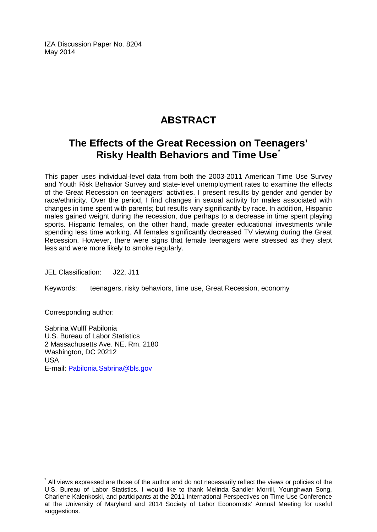IZA Discussion Paper No. 8204 May 2014

## **ABSTRACT**

### **The Effects of the Great Recession on Teenagers' Risky Health Behaviors and Time Use[\\*](#page-1-0)**

This paper uses individual-level data from both the 2003-2011 American Time Use Survey and Youth Risk Behavior Survey and state-level unemployment rates to examine the effects of the Great Recession on teenagers' activities. I present results by gender and gender by race/ethnicity. Over the period, I find changes in sexual activity for males associated with changes in time spent with parents; but results vary significantly by race. In addition, Hispanic males gained weight during the recession, due perhaps to a decrease in time spent playing sports. Hispanic females, on the other hand, made greater educational investments while spending less time working. All females significantly decreased TV viewing during the Great Recession. However, there were signs that female teenagers were stressed as they slept less and were more likely to smoke regularly.

JEL Classification: J22, J11

Keywords: teenagers, risky behaviors, time use, Great Recession, economy

Corresponding author:

Sabrina Wulff Pabilonia U.S. Bureau of Labor Statistics 2 Massachusetts Ave. NE, Rm. 2180 Washington, DC 20212 USA E-mail: [Pabilonia.Sabrina@bls.gov](mailto:Pabilonia.Sabrina@bls.gov)

All views expressed are those of the author and do not necessarily reflect the views or policies of the U.S. Bureau of Labor Statistics. I would like to thank Melinda Sandler Morrill, Younghwan Song, Charlene Kalenkoski, and participants at the 2011 International Perspectives on Time Use Conference at the University of Maryland and 2014 Society of Labor Economists' Annual Meeting for useful suggestions.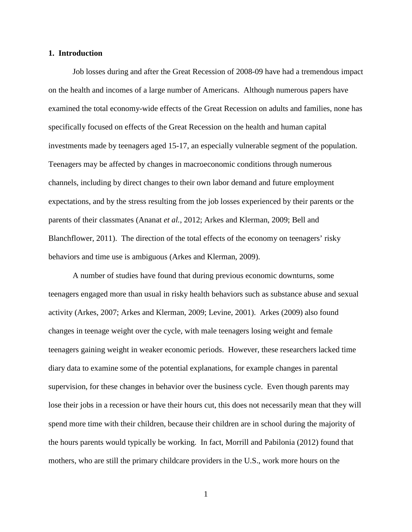#### **1. Introduction**

Job losses during and after the Great Recession of 2008-09 have had a tremendous impact on the health and incomes of a large number of Americans. Although numerous papers have examined the total economy-wide effects of the Great Recession on adults and families, none has specifically focused on effects of the Great Recession on the health and human capital investments made by teenagers aged 15-17, an especially vulnerable segment of the population. Teenagers may be affected by changes in macroeconomic conditions through numerous channels, including by direct changes to their own labor demand and future employment expectations, and by the stress resulting from the job losses experienced by their parents or the parents of their classmates (Ananat *et al.*, 2012; Arkes and Klerman, 2009; Bell and Blanchflower, 2011). The direction of the total effects of the economy on teenagers' risky behaviors and time use is ambiguous (Arkes and Klerman, 2009).

A number of studies have found that during previous economic downturns, some teenagers engaged more than usual in risky health behaviors such as substance abuse and sexual activity (Arkes, 2007; Arkes and Klerman, 2009; Levine, 2001). Arkes (2009) also found changes in teenage weight over the cycle, with male teenagers losing weight and female teenagers gaining weight in weaker economic periods. However, these researchers lacked time diary data to examine some of the potential explanations, for example changes in parental supervision, for these changes in behavior over the business cycle. Even though parents may lose their jobs in a recession or have their hours cut, this does not necessarily mean that they will spend more time with their children, because their children are in school during the majority of the hours parents would typically be working. In fact, Morrill and Pabilonia (2012) found that mothers, who are still the primary childcare providers in the U.S., work more hours on the

1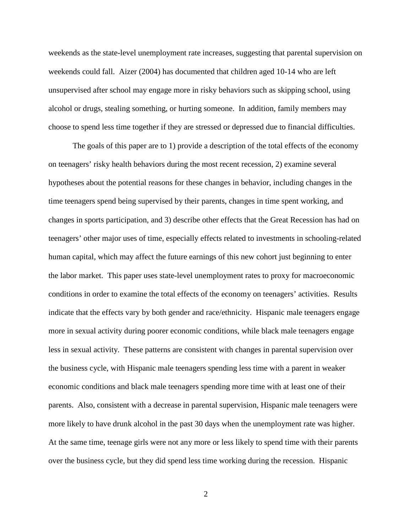weekends as the state-level unemployment rate increases, suggesting that parental supervision on weekends could fall. Aizer (2004) has documented that children aged 10-14 who are left unsupervised after school may engage more in risky behaviors such as skipping school, using alcohol or drugs, stealing something, or hurting someone. In addition, family members may choose to spend less time together if they are stressed or depressed due to financial difficulties.

The goals of this paper are to 1) provide a description of the total effects of the economy on teenagers' risky health behaviors during the most recent recession, 2) examine several hypotheses about the potential reasons for these changes in behavior, including changes in the time teenagers spend being supervised by their parents, changes in time spent working, and changes in sports participation, and 3) describe other effects that the Great Recession has had on teenagers' other major uses of time, especially effects related to investments in schooling-related human capital, which may affect the future earnings of this new cohort just beginning to enter the labor market. This paper uses state-level unemployment rates to proxy for macroeconomic conditions in order to examine the total effects of the economy on teenagers' activities. Results indicate that the effects vary by both gender and race/ethnicity. Hispanic male teenagers engage more in sexual activity during poorer economic conditions, while black male teenagers engage less in sexual activity. These patterns are consistent with changes in parental supervision over the business cycle, with Hispanic male teenagers spending less time with a parent in weaker economic conditions and black male teenagers spending more time with at least one of their parents. Also, consistent with a decrease in parental supervision, Hispanic male teenagers were more likely to have drunk alcohol in the past 30 days when the unemployment rate was higher. At the same time, teenage girls were not any more or less likely to spend time with their parents over the business cycle, but they did spend less time working during the recession. Hispanic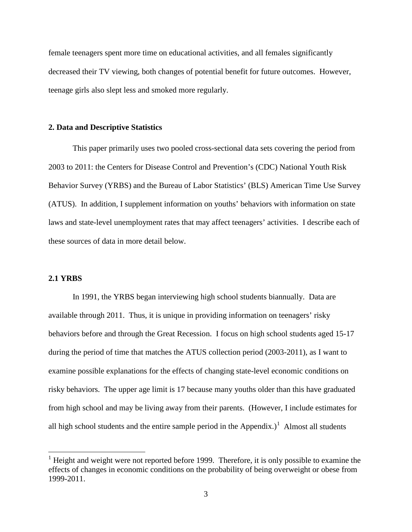female teenagers spent more time on educational activities, and all females significantly decreased their TV viewing, both changes of potential benefit for future outcomes. However, teenage girls also slept less and smoked more regularly.

#### **2. Data and Descriptive Statistics**

This paper primarily uses two pooled cross-sectional data sets covering the period from 2003 to 2011: the Centers for Disease Control and Prevention's (CDC) National Youth Risk Behavior Survey (YRBS) and the Bureau of Labor Statistics' (BLS) American Time Use Survey (ATUS). In addition, I supplement information on youths' behaviors with information on state laws and state-level unemployment rates that may affect teenagers' activities. I describe each of these sources of data in more detail below.

#### **2.1 YRBS**

In 1991, the YRBS began interviewing high school students biannually. Data are available through 2011. Thus, it is unique in providing information on teenagers' risky behaviors before and through the Great Recession. I focus on high school students aged 15-17 during the period of time that matches the ATUS collection period (2003-2011), as I want to examine possible explanations for the effects of changing state-level economic conditions on risky behaviors. The upper age limit is 17 because many youths older than this have graduated from high school and may be living away from their parents. (However, I include estimates for all high school students and the entire sample period in the Appendix.)<sup>1</sup> Almost all students

<span id="page-5-0"></span> $<sup>1</sup>$  Height and weight were not reported before 1999. Therefore, it is only possible to examine the</sup> effects of changes in economic conditions on the probability of being overweight or obese from 1999-2011.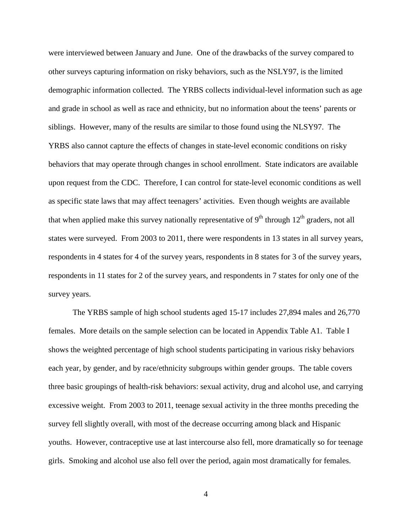were interviewed between January and June. One of the drawbacks of the survey compared to other surveys capturing information on risky behaviors, such as the NSLY97, is the limited demographic information collected. The YRBS collects individual-level information such as age and grade in school as well as race and ethnicity, but no information about the teens' parents or siblings. However, many of the results are similar to those found using the NLSY97. The YRBS also cannot capture the effects of changes in state-level economic conditions on risky behaviors that may operate through changes in school enrollment. State indicators are available upon request from the CDC. Therefore, I can control for state-level economic conditions as well as specific state laws that may affect teenagers' activities. Even though weights are available that when applied make this survey nationally representative of  $9<sup>th</sup>$  through  $12<sup>th</sup>$  graders, not all states were surveyed. From 2003 to 2011, there were respondents in 13 states in all survey years, respondents in 4 states for 4 of the survey years, respondents in 8 states for 3 of the survey years, respondents in 11 states for 2 of the survey years, and respondents in 7 states for only one of the survey years.

The YRBS sample of high school students aged 15-17 includes 27,894 males and 26,770 females. More details on the sample selection can be located in Appendix Table A1. Table I shows the weighted percentage of high school students participating in various risky behaviors each year, by gender, and by race/ethnicity subgroups within gender groups. The table covers three basic groupings of health-risk behaviors: sexual activity, drug and alcohol use, and carrying excessive weight. From 2003 to 2011, teenage sexual activity in the three months preceding the survey fell slightly overall, with most of the decrease occurring among black and Hispanic youths. However, contraceptive use at last intercourse also fell, more dramatically so for teenage girls. Smoking and alcohol use also fell over the period, again most dramatically for females.

4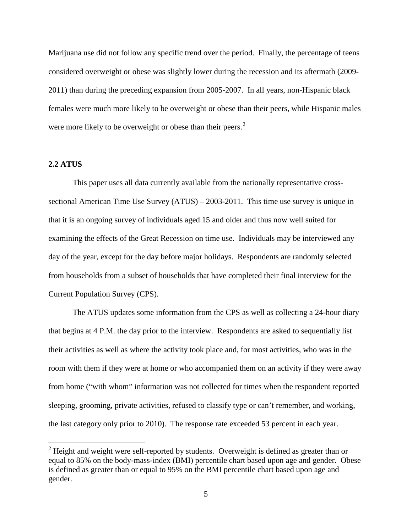Marijuana use did not follow any specific trend over the period. Finally, the percentage of teens considered overweight or obese was slightly lower during the recession and its aftermath (2009- 2011) than during the preceding expansion from 2005-2007. In all years, non-Hispanic black females were much more likely to be overweight or obese than their peers, while Hispanic males were more likely to be overweight or obese than their peers.<sup>[2](#page-5-0)</sup>

#### **2.2 ATUS**

This paper uses all data currently available from the nationally representative crosssectional American Time Use Survey (ATUS) – 2003-2011. This time use survey is unique in that it is an ongoing survey of individuals aged 15 and older and thus now well suited for examining the effects of the Great Recession on time use. Individuals may be interviewed any day of the year, except for the day before major holidays. Respondents are randomly selected from households from a subset of households that have completed their final interview for the Current Population Survey (CPS).

The ATUS updates some information from the CPS as well as collecting a 24-hour diary that begins at 4 P.M. the day prior to the interview. Respondents are asked to sequentially list their activities as well as where the activity took place and, for most activities, who was in the room with them if they were at home or who accompanied them on an activity if they were away from home ("with whom" information was not collected for times when the respondent reported sleeping, grooming, private activities, refused to classify type or can't remember, and working, the last category only prior to 2010). The response rate exceeded 53 percent in each year.

<span id="page-7-0"></span> $2$  Height and weight were self-reported by students. Overweight is defined as greater than or equal to 85% on the body-mass-index (BMI) percentile chart based upon age and gender. Obese is defined as greater than or equal to 95% on the BMI percentile chart based upon age and gender.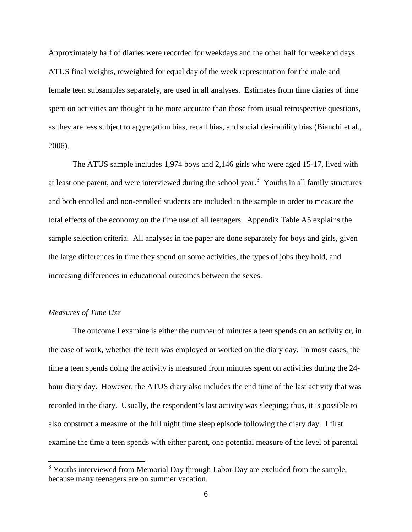Approximately half of diaries were recorded for weekdays and the other half for weekend days. ATUS final weights, reweighted for equal day of the week representation for the male and female teen subsamples separately, are used in all analyses. Estimates from time diaries of time spent on activities are thought to be more accurate than those from usual retrospective questions, as they are less subject to aggregation bias, recall bias, and social desirability bias (Bianchi et al., 2006).

The ATUS sample includes 1,974 boys and 2,146 girls who were aged 15-17, lived with at least one parent, and were interviewed during the school year.<sup>[3](#page-7-0)</sup> Youths in all family structures and both enrolled and non-enrolled students are included in the sample in order to measure the total effects of the economy on the time use of all teenagers. Appendix Table A5 explains the sample selection criteria. All analyses in the paper are done separately for boys and girls, given the large differences in time they spend on some activities, the types of jobs they hold, and increasing differences in educational outcomes between the sexes.

#### *Measures of Time Use*

The outcome I examine is either the number of minutes a teen spends on an activity or, in the case of work, whether the teen was employed or worked on the diary day. In most cases, the time a teen spends doing the activity is measured from minutes spent on activities during the 24 hour diary day. However, the ATUS diary also includes the end time of the last activity that was recorded in the diary. Usually, the respondent's last activity was sleeping; thus, it is possible to also construct a measure of the full night time sleep episode following the diary day. I first examine the time a teen spends with either parent, one potential measure of the level of parental

<span id="page-8-0"></span><sup>&</sup>lt;sup>3</sup> Youths interviewed from Memorial Day through Labor Day are excluded from the sample, because many teenagers are on summer vacation.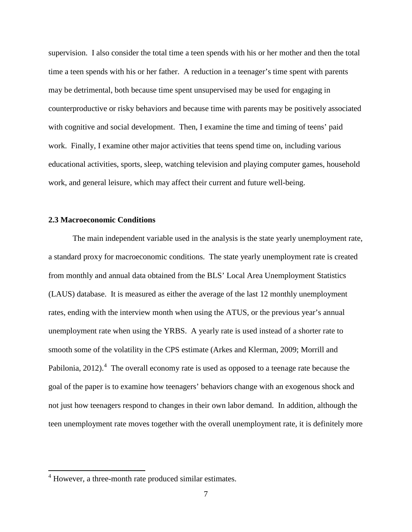supervision. I also consider the total time a teen spends with his or her mother and then the total time a teen spends with his or her father. A reduction in a teenager's time spent with parents may be detrimental, both because time spent unsupervised may be used for engaging in counterproductive or risky behaviors and because time with parents may be positively associated with cognitive and social development. Then, I examine the time and timing of teens' paid work. Finally, I examine other major activities that teens spend time on, including various educational activities, sports, sleep, watching television and playing computer games, household work, and general leisure, which may affect their current and future well-being.

#### **2.3 Macroeconomic Conditions**

The main independent variable used in the analysis is the state yearly unemployment rate, a standard proxy for macroeconomic conditions. The state yearly unemployment rate is created from monthly and annual data obtained from the BLS' Local Area Unemployment Statistics (LAUS) database. It is measured as either the average of the last 12 monthly unemployment rates, ending with the interview month when using the ATUS, or the previous year's annual unemployment rate when using the YRBS. A yearly rate is used instead of a shorter rate to smooth some of the volatility in the CPS estimate (Arkes and Klerman, 2009; Morrill and Pabilonia, 2012).<sup>[4](#page-8-0)</sup> The overall economy rate is used as opposed to a teenage rate because the goal of the paper is to examine how teenagers' behaviors change with an exogenous shock and not just how teenagers respond to changes in their own labor demand. In addition, although the teen unemployment rate moves together with the overall unemployment rate, it is definitely more

<span id="page-9-0"></span><sup>4</sup> However, a three-month rate produced similar estimates.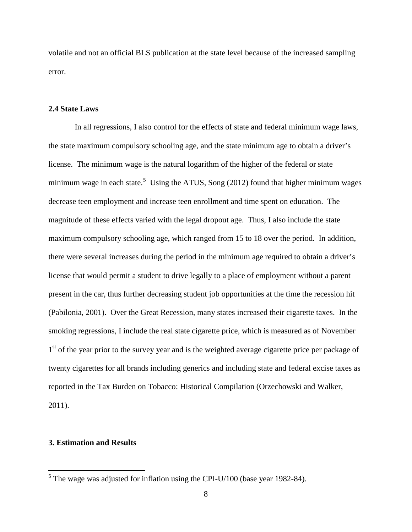volatile and not an official BLS publication at the state level because of the increased sampling error.

#### **2.4 State Laws**

In all regressions, I also control for the effects of state and federal minimum wage laws, the state maximum compulsory schooling age, and the state minimum age to obtain a driver's license. The minimum wage is the natural logarithm of the higher of the federal or state minimum wage in each state.<sup>[5](#page-9-0)</sup> Using the ATUS, Song (2012) found that higher minimum wages decrease teen employment and increase teen enrollment and time spent on education. The magnitude of these effects varied with the legal dropout age. Thus, I also include the state maximum compulsory schooling age, which ranged from 15 to 18 over the period. In addition, there were several increases during the period in the minimum age required to obtain a driver's license that would permit a student to drive legally to a place of employment without a parent present in the car, thus further decreasing student job opportunities at the time the recession hit (Pabilonia, 2001). Over the Great Recession, many states increased their cigarette taxes. In the smoking regressions, I include the real state cigarette price, which is measured as of November 1<sup>st</sup> of the year prior to the survey year and is the weighted average cigarette price per package of twenty cigarettes for all brands including generics and including state and federal excise taxes as reported in the Tax Burden on Tobacco: Historical Compilation (Orzechowski and Walker, 2011).

#### **3. Estimation and Results**

<span id="page-10-0"></span> $5$  The wage was adjusted for inflation using the CPI-U/100 (base year 1982-84).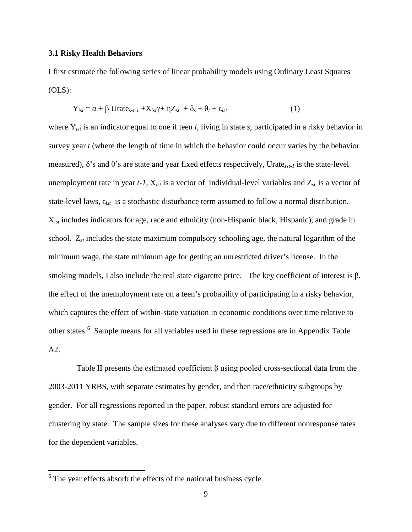#### **3.1 Risky Health Behaviors**

I first estimate the following series of linear probability models using Ordinary Least Squares  $(OLS)$ :

$$
Y_{ist} = \alpha + \beta \text{Urate}_{s,t-1} + X_{ist}\gamma + \eta Z_{st} + \delta_s + \theta_t + \varepsilon_{ist}
$$
 (1)

where Y*ist* is an indicator equal to one if teen *i*, living in state *s*, participated in a risky behavior in survey year *t* (where the length of time in which the behavior could occur varies by the behavior measured),  $\delta$ 's and  $\theta$ 's are state and year fixed effects respectively, Urate<sub>s,t-1</sub> is the state-level unemployment rate in year  $t$ -1,  $X_{ist}$  is a vector of individual-level variables and  $Z_{st}$  is a vector of state-level laws, ε*ist* is a stochastic disturbance term assumed to follow a normal distribution. X*ist* includes indicators for age, race and ethnicity (non-Hispanic black, Hispanic), and grade in school. Z*st* includes the state maximum compulsory schooling age, the natural logarithm of the minimum wage, the state minimum age for getting an unrestricted driver's license. In the smoking models, I also include the real state cigarette price. The key coefficient of interest is  $\beta$ , the effect of the unemployment rate on a teen's probability of participating in a risky behavior, which captures the effect of within-state variation in economic conditions over time relative to other states.<sup>[6](#page-10-0)</sup> Sample means for all variables used in these regressions are in Appendix Table A2.

Table II presents the estimated coefficient  $\beta$  using pooled cross-sectional data from the 2003-2011 YRBS, with separate estimates by gender, and then race/ethnicity subgroups by gender. For all regressions reported in the paper, robust standard errors are adjusted for clustering by state. The sample sizes for these analyses vary due to different nonresponse rates for the dependent variables.

<span id="page-11-0"></span> $6$  The year effects absorb the effects of the national business cycle.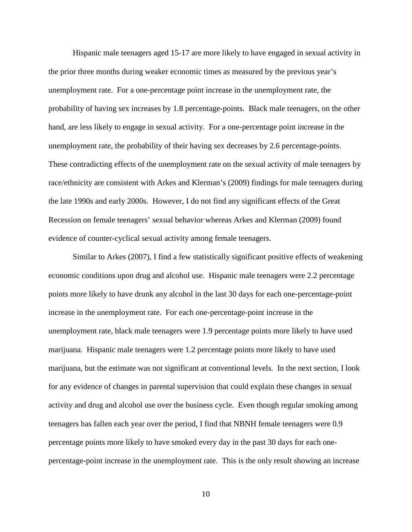Hispanic male teenagers aged 15-17 are more likely to have engaged in sexual activity in the prior three months during weaker economic times as measured by the previous year's unemployment rate. For a one-percentage point increase in the unemployment rate, the probability of having sex increases by 1.8 percentage-points. Black male teenagers, on the other hand, are less likely to engage in sexual activity. For a one-percentage point increase in the unemployment rate, the probability of their having sex decreases by 2.6 percentage-points. These contradicting effects of the unemployment rate on the sexual activity of male teenagers by race/ethnicity are consistent with Arkes and Klerman's (2009) findings for male teenagers during the late 1990s and early 2000s. However, I do not find any significant effects of the Great Recession on female teenagers' sexual behavior whereas Arkes and Klerman (2009) found evidence of counter-cyclical sexual activity among female teenagers.

Similar to Arkes (2007), I find a few statistically significant positive effects of weakening economic conditions upon drug and alcohol use. Hispanic male teenagers were 2.2 percentage points more likely to have drunk any alcohol in the last 30 days for each one-percentage-point increase in the unemployment rate. For each one-percentage-point increase in the unemployment rate, black male teenagers were 1.9 percentage points more likely to have used marijuana. Hispanic male teenagers were 1.2 percentage points more likely to have used marijuana, but the estimate was not significant at conventional levels. In the next section, I look for any evidence of changes in parental supervision that could explain these changes in sexual activity and drug and alcohol use over the business cycle. Even though regular smoking among teenagers has fallen each year over the period, I find that NBNH female teenagers were 0.9 percentage points more likely to have smoked every day in the past 30 days for each onepercentage-point increase in the unemployment rate. This is the only result showing an increase

10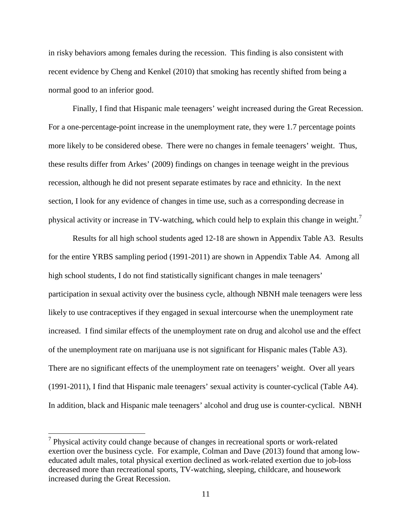in risky behaviors among females during the recession. This finding is also consistent with recent evidence by Cheng and Kenkel (2010) that smoking has recently shifted from being a normal good to an inferior good.

Finally, I find that Hispanic male teenagers' weight increased during the Great Recession. For a one-percentage-point increase in the unemployment rate, they were 1.7 percentage points more likely to be considered obese. There were no changes in female teenagers' weight. Thus, these results differ from Arkes' (2009) findings on changes in teenage weight in the previous recession, although he did not present separate estimates by race and ethnicity. In the next section, I look for any evidence of changes in time use, such as a corresponding decrease in physical activity or increase in TV-watching, which could help to explain this change in weight.<sup>[7](#page-11-0)</sup>

Results for all high school students aged 12-18 are shown in Appendix Table A3. Results for the entire YRBS sampling period (1991-2011) are shown in Appendix Table A4. Among all high school students, I do not find statistically significant changes in male teenagers' participation in sexual activity over the business cycle, although NBNH male teenagers were less likely to use contraceptives if they engaged in sexual intercourse when the unemployment rate increased. I find similar effects of the unemployment rate on drug and alcohol use and the effect of the unemployment rate on marijuana use is not significant for Hispanic males (Table A3). There are no significant effects of the unemployment rate on teenagers' weight. Over all years (1991-2011), I find that Hispanic male teenagers' sexual activity is counter-cyclical (Table A4). In addition, black and Hispanic male teenagers' alcohol and drug use is counter-cyclical. NBNH

<span id="page-13-0"></span> $<sup>7</sup>$  Physical activity could change because of changes in recreational sports or work-related</sup> exertion over the business cycle. For example, Colman and Dave (2013) found that among loweducated adult males, total physical exertion declined as work-related exertion due to job-loss decreased more than recreational sports, TV-watching, sleeping, childcare, and housework increased during the Great Recession.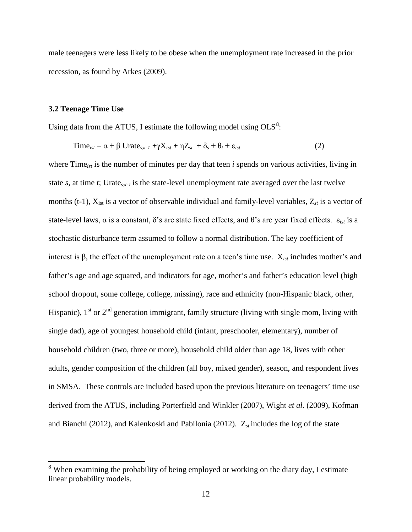male teenagers were less likely to be obese when the unemployment rate increased in the prior recession, as found by Arkes (2009).

#### **3.2 Teenage Time Use**

Using data from the ATUS, I estimate the following model using  $OLS^8$  $OLS^8$ :

$$
Time_{ist} = \alpha + \beta \text{Urate}_{s,t-1} + \gamma X_{ist} + \eta Z_{st} + \delta_s + \theta_t + \varepsilon_{ist}
$$
 (2)

where Time<sub>ist</sub> is the number of minutes per day that teen *i* spends on various activities, living in state *s,* at time *t*; Urate*s*,*t-1* is the state-level unemployment rate averaged over the last twelve months (t-1),  $X_{\text{ist}}$  is a vector of observable individual and family-level variables,  $Z_{st}$  is a vector of state-level laws, α is a constant, δ's are state fixed effects, and θ's are year fixed effects. ε*ist* is a stochastic disturbance term assumed to follow a normal distribution. The key coefficient of interest is β, the effect of the unemployment rate on a teen's time use. X*ist* includes mother's and father's age and age squared, and indicators for age, mother's and father's education level (high school dropout, some college, college, missing), race and ethnicity (non-Hispanic black, other, Hispanic),  $1^{st}$  or  $2^{nd}$  generation immigrant, family structure (living with single mom, living with single dad), age of youngest household child (infant, preschooler, elementary), number of household children (two, three or more), household child older than age 18, lives with other adults, gender composition of the children (all boy, mixed gender), season, and respondent lives in SMSA. These controls are included based upon the previous literature on teenagers' time use derived from the ATUS, including Porterfield and Winkler (2007), Wight *et al.* (2009), Kofman and Bianchi (2012), and Kalenkoski and Pabilonia (2012). Z*st* includes the log of the state

<span id="page-14-0"></span><sup>&</sup>lt;sup>8</sup> When examining the probability of being employed or working on the diary day, I estimate linear probability models.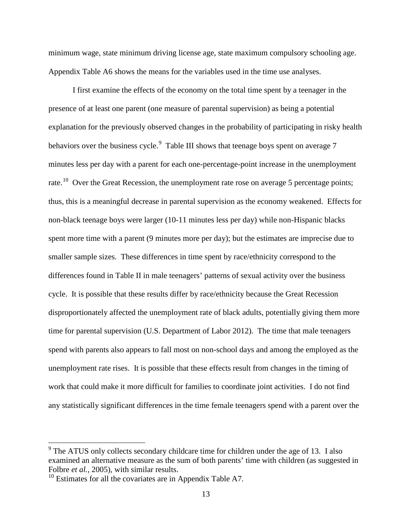minimum wage, state minimum driving license age, state maximum compulsory schooling age. Appendix Table A6 shows the means for the variables used in the time use analyses.

I first examine the effects of the economy on the total time spent by a teenager in the presence of at least one parent (one measure of parental supervision) as being a potential explanation for the previously observed changes in the probability of participating in risky health behaviors over the business cycle.<sup>[9](#page-14-0)</sup> Table III shows that teenage boys spent on average 7 minutes less per day with a parent for each one-percentage-point increase in the unemployment rate.<sup>10</sup> Over the Great Recession, the unemployment rate rose on average 5 percentage points; thus, this is a meaningful decrease in parental supervision as the economy weakened. Effects for non-black teenage boys were larger (10-11 minutes less per day) while non-Hispanic blacks spent more time with a parent (9 minutes more per day); but the estimates are imprecise due to smaller sample sizes. These differences in time spent by race/ethnicity correspond to the differences found in Table II in male teenagers' patterns of sexual activity over the business cycle. It is possible that these results differ by race/ethnicity because the Great Recession disproportionately affected the unemployment rate of black adults, potentially giving them more time for parental supervision (U.S. Department of Labor 2012). The time that male teenagers spend with parents also appears to fall most on non-school days and among the employed as the unemployment rate rises. It is possible that these effects result from changes in the timing of work that could make it more difficult for families to coordinate joint activities. I do not find any statistically significant differences in the time female teenagers spend with a parent over the

<sup>&</sup>lt;sup>9</sup> The ATUS only collects secondary childcare time for children under the age of 13. I also examined an alternative measure as the sum of both parents' time with children (as suggested in Folbre *et al.*, 2005), with similar results.

<span id="page-15-1"></span><span id="page-15-0"></span> $10$  Estimates for all the covariates are in Appendix Table A7.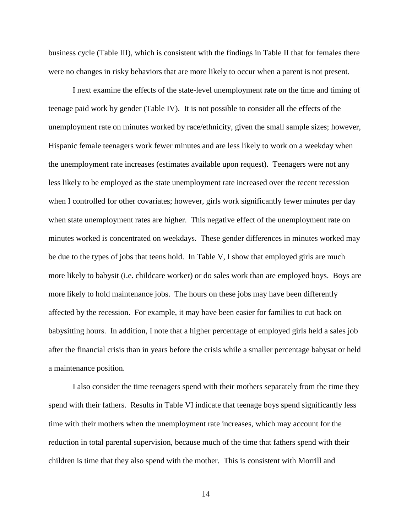business cycle (Table III), which is consistent with the findings in Table II that for females there were no changes in risky behaviors that are more likely to occur when a parent is not present.

I next examine the effects of the state-level unemployment rate on the time and timing of teenage paid work by gender (Table IV). It is not possible to consider all the effects of the unemployment rate on minutes worked by race/ethnicity, given the small sample sizes; however, Hispanic female teenagers work fewer minutes and are less likely to work on a weekday when the unemployment rate increases (estimates available upon request). Teenagers were not any less likely to be employed as the state unemployment rate increased over the recent recession when I controlled for other covariates; however, girls work significantly fewer minutes per day when state unemployment rates are higher. This negative effect of the unemployment rate on minutes worked is concentrated on weekdays. These gender differences in minutes worked may be due to the types of jobs that teens hold. In Table V, I show that employed girls are much more likely to babysit (i.e. childcare worker) or do sales work than are employed boys. Boys are more likely to hold maintenance jobs. The hours on these jobs may have been differently affected by the recession. For example, it may have been easier for families to cut back on babysitting hours. In addition, I note that a higher percentage of employed girls held a sales job after the financial crisis than in years before the crisis while a smaller percentage babysat or held a maintenance position.

I also consider the time teenagers spend with their mothers separately from the time they spend with their fathers. Results in Table VI indicate that teenage boys spend significantly less time with their mothers when the unemployment rate increases, which may account for the reduction in total parental supervision, because much of the time that fathers spend with their children is time that they also spend with the mother. This is consistent with Morrill and

14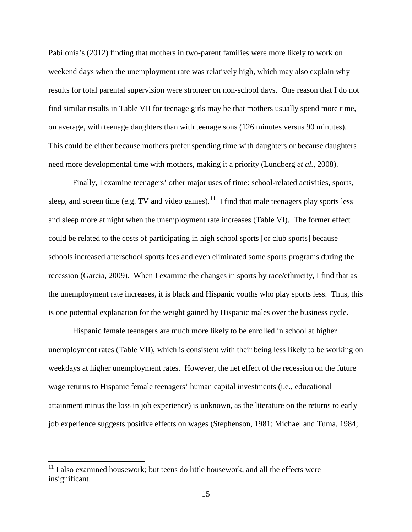Pabilonia's (2012) finding that mothers in two-parent families were more likely to work on weekend days when the unemployment rate was relatively high, which may also explain why results for total parental supervision were stronger on non-school days. One reason that I do not find similar results in Table VII for teenage girls may be that mothers usually spend more time, on average, with teenage daughters than with teenage sons (126 minutes versus 90 minutes). This could be either because mothers prefer spending time with daughters or because daughters need more developmental time with mothers, making it a priority (Lundberg *et al.*, 2008).

Finally, I examine teenagers' other major uses of time: school-related activities, sports, sleep, and screen time (e.g. TV and video games).<sup>11</sup> I find that male teenagers play sports less and sleep more at night when the unemployment rate increases (Table VI). The former effect could be related to the costs of participating in high school sports [or club sports] because schools increased afterschool sports fees and even eliminated some sports programs during the recession (Garcia, 2009). When I examine the changes in sports by race/ethnicity, I find that as the unemployment rate increases, it is black and Hispanic youths who play sports less. Thus, this is one potential explanation for the weight gained by Hispanic males over the business cycle.

Hispanic female teenagers are much more likely to be enrolled in school at higher unemployment rates (Table VII), which is consistent with their being less likely to be working on weekdays at higher unemployment rates. However, the net effect of the recession on the future wage returns to Hispanic female teenagers' human capital investments (i.e., educational attainment minus the loss in job experience) is unknown, as the literature on the returns to early job experience suggests positive effects on wages (Stephenson, 1981; Michael and Tuma, 1984;

 $11$  I also examined housework; but teens do little housework, and all the effects were insignificant.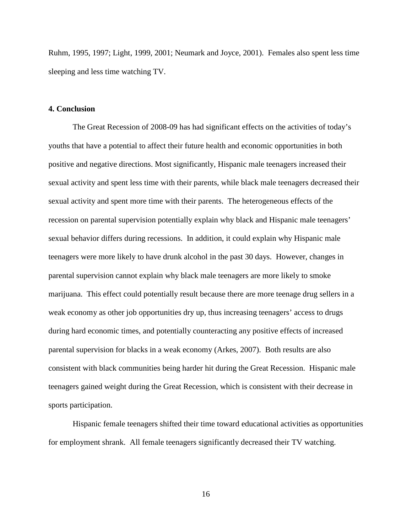Ruhm, 1995, 1997; Light, 1999, 2001; Neumark and Joyce, 2001). Females also spent less time sleeping and less time watching TV.

#### **4. Conclusion**

The Great Recession of 2008-09 has had significant effects on the activities of today's youths that have a potential to affect their future health and economic opportunities in both positive and negative directions. Most significantly, Hispanic male teenagers increased their sexual activity and spent less time with their parents, while black male teenagers decreased their sexual activity and spent more time with their parents. The heterogeneous effects of the recession on parental supervision potentially explain why black and Hispanic male teenagers' sexual behavior differs during recessions. In addition, it could explain why Hispanic male teenagers were more likely to have drunk alcohol in the past 30 days. However, changes in parental supervision cannot explain why black male teenagers are more likely to smoke marijuana. This effect could potentially result because there are more teenage drug sellers in a weak economy as other job opportunities dry up, thus increasing teenagers' access to drugs during hard economic times, and potentially counteracting any positive effects of increased parental supervision for blacks in a weak economy (Arkes, 2007). Both results are also consistent with black communities being harder hit during the Great Recession. Hispanic male teenagers gained weight during the Great Recession, which is consistent with their decrease in sports participation.

Hispanic female teenagers shifted their time toward educational activities as opportunities for employment shrank. All female teenagers significantly decreased their TV watching.

16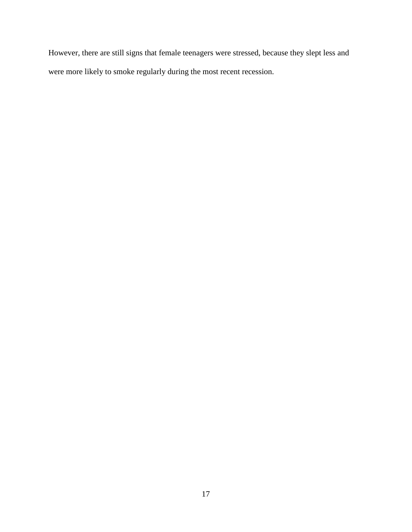However, there are still signs that female teenagers were stressed, because they slept less and were more likely to smoke regularly during the most recent recession.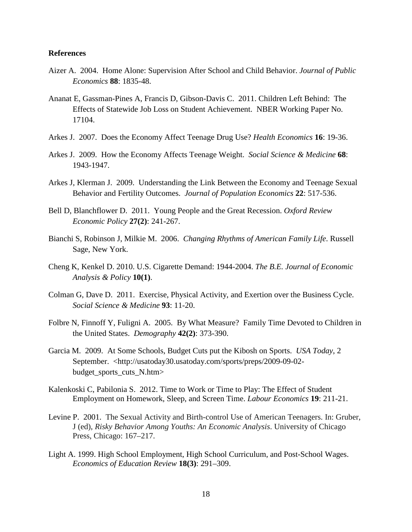#### **References**

- Aizer A. 2004. Home Alone: Supervision After School and Child Behavior. *Journal of Public Economics* **88**: 1835-48.
- Ananat E, Gassman-Pines A, Francis D, Gibson-Davis C. 2011. Children Left Behind: The Effects of Statewide Job Loss on Student Achievement. NBER Working Paper No. 17104.
- Arkes J. 2007. Does the Economy Affect Teenage Drug Use? *Health Economics* **16**: 19-36.
- Arkes J. 2009. How the Economy Affects Teenage Weight. *Social Science & Medicine* **68**: 1943-1947.
- Arkes J, Klerman J. 2009. Understanding the Link Between the Economy and Teenage Sexual Behavior and Fertility Outcomes. *Journal of Population Economics* **22**: 517-536.
- Bell D, Blanchflower D. 2011. Young People and the Great Recession. *Oxford Review Economic Policy* **27(2)**: 241-267.
- Bianchi S, Robinson J, Milkie M. 2006. *Changing Rhythms of American Family Life*. Russell Sage, New York.
- Cheng K, Kenkel D. 2010. U.S. Cigarette Demand: 1944-2004. *The B.E. Journal of Economic Analysis & Policy* **10(1)**.
- Colman G, Dave D. 2011. Exercise, Physical Activity, and Exertion over the Business Cycle. *Social Science & Medicine* **93**: 11-20.
- Folbre N, Finnoff Y, Fuligni A. 2005. By What Measure? Family Time Devoted to Children in the United States. *Demography* **42(2)**: 373-390.
- Garcia M. 2009. At Some Schools, Budget Cuts put the Kibosh on Sports. *USA Today*, 2 September. <http://usatoday30.usatoday.com/sports/preps/2009-09-02 budget sports cuts N.htm>
- Kalenkoski C, Pabilonia S. 2012. Time to Work or Time to Play: The Effect of Student Employment on Homework, Sleep, and Screen Time. *Labour Economics* **19**: 211-21.
- Levine P. 2001. The Sexual Activity and Birth-control Use of American Teenagers. In: Gruber, J (ed), *Risky Behavior Among Youths: An Economic Analysis*. University of Chicago Press, Chicago: 167–217.
- Light A. 1999. High School Employment, High School Curriculum, and Post-School Wages. *Economics of Education Review* **18(3)**: 291–309.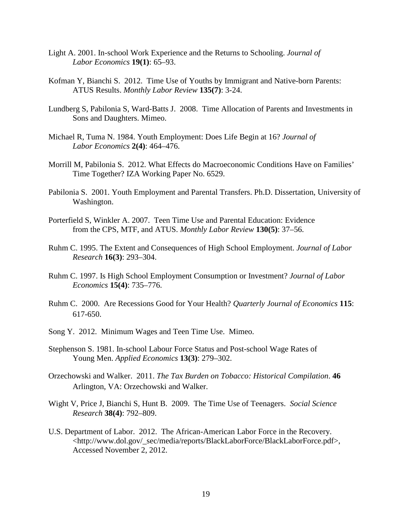- Light A. 2001. In-school Work Experience and the Returns to Schooling. *Journal of Labor Economics* **19(1)**: 65–93.
- Kofman Y, Bianchi S. 2012. Time Use of Youths by Immigrant and Native-born Parents: ATUS Results. *Monthly Labor Review* **135(7)**: 3-24.
- Lundberg S, Pabilonia S, Ward-Batts J. 2008. Time Allocation of Parents and Investments in Sons and Daughters. Mimeo.
- Michael R, Tuma N. 1984. Youth Employment: Does Life Begin at 16? *Journal of Labor Economics* **2(4)**: 464–476.
- Morrill M, Pabilonia S. 2012. What Effects do Macroeconomic Conditions Have on Families' Time Together? IZA Working Paper No. 6529.
- Pabilonia S. 2001. Youth Employment and Parental Transfers. Ph.D. Dissertation, University of Washington.
- Porterfield S, Winkler A. 2007. Teen Time Use and Parental Education: Evidence from the CPS, MTF, and ATUS. *Monthly Labor Review* **130(5)**: 37–56.
- Ruhm C. 1995. The Extent and Consequences of High School Employment. *Journal of Labor Research* **16(3)**: 293–304.
- Ruhm C. 1997. Is High School Employment Consumption or Investment? *Journal of Labor Economics* **15(4)**: 735–776.
- Ruhm C. 2000. Are Recessions Good for Your Health? *Quarterly Journal of Economics* **115**: 617-650.
- Song Y. 2012. Minimum Wages and Teen Time Use. Mimeo.
- Stephenson S. 1981. In-school Labour Force Status and Post-school Wage Rates of Young Men. *Applied Economics* **13(3)**: 279–302.
- Orzechowski and Walker. 2011. *The Tax Burden on Tobacco: Historical Compilation*. **46** Arlington, VA: Orzechowski and Walker.
- Wight V, Price J, Bianchi S, Hunt B. 2009. The Time Use of Teenagers. *Social Science Research* **38(4)**: 792–809.
- U.S. Department of Labor. 2012. The African-American Labor Force in the Recovery. <http://www.dol.gov/\_sec/media/reports/BlackLaborForce/BlackLaborForce.pdf>, Accessed November 2, 2012.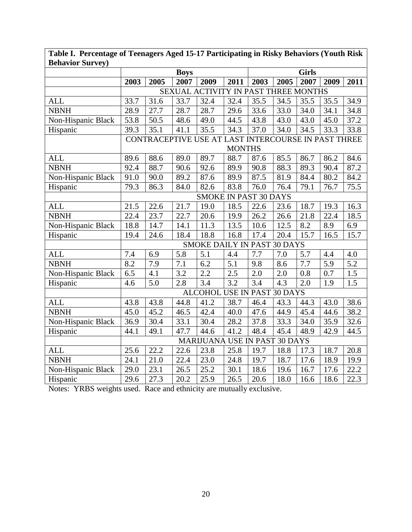| DCIIAVIUI DUI VCY <i>)</i> |                  |                                                     |             |                                      |                  |      |      |              |      |                  |
|----------------------------|------------------|-----------------------------------------------------|-------------|--------------------------------------|------------------|------|------|--------------|------|------------------|
|                            |                  |                                                     | <b>Boys</b> |                                      |                  |      |      | <b>Girls</b> |      |                  |
|                            | 2003             | 2005                                                | 2007        | 2009                                 | 2011             | 2003 | 2005 | 2007         | 2009 | 2011             |
|                            |                  |                                                     |             | SEXUAL ACTIVITY IN PAST THREE MONTHS |                  |      |      |              |      |                  |
| <b>ALL</b>                 | 33.7             | 31.6                                                | 33.7        | 32.4                                 | 32.4             | 35.5 | 34.5 | 35.5         | 35.5 | 34.9             |
| <b>NBNH</b>                | 28.9             | 27.7                                                | 28.7        | 28.7                                 | 29.6             | 33.6 | 33.0 | 34.0         | 34.1 | 34.8             |
| Non-Hispanic Black         | 53.8             | 50.5                                                | 48.6        | 49.0                                 | 44.5             | 43.8 | 43.0 | 43.0         | 45.0 | 37.2             |
| Hispanic                   | 39.3             | 35.1                                                | 41.1        | 35.5                                 | 34.3             | 37.0 | 34.0 | 34.5         | 33.3 | 33.8             |
|                            |                  | CONTRACEPTIVE USE AT LAST INTERCOURSE IN PAST THREE |             |                                      |                  |      |      |              |      |                  |
|                            |                  | <b>MONTHS</b>                                       |             |                                      |                  |      |      |              |      |                  |
| <b>ALL</b>                 | 89.6             | 88.6                                                | 89.0        | 89.7                                 | 88.7             | 87.6 | 85.5 | 86.7         | 86.2 | 84.6             |
| <b>NBNH</b>                | 92.4             | 88.7                                                | 90.6        | 92.6                                 | 89.9             | 90.8 | 88.3 | 89.3         | 90.4 | 87.2             |
| Non-Hispanic Black         | 91.0             | 90.0                                                | 89.2        | 87.6                                 | 89.9             | 87.5 | 81.9 | 84.4         | 80.2 | 84.2             |
| Hispanic                   | 79.3             | 86.3                                                | 84.0        | 82.6                                 | 83.8             | 76.0 | 76.4 | 79.1         | 76.7 | 75.5             |
|                            |                  | <b>SMOKE IN PAST 30 DAYS</b>                        |             |                                      |                  |      |      |              |      |                  |
| <b>ALL</b>                 | 21.5             | 22.6                                                | 21.7        | 19.0                                 | 18.5             | 22.6 | 23.6 | 18.7         | 19.3 | 16.3             |
| <b>NBNH</b>                | 22.4             | 23.7                                                | 22.7        | 20.6                                 | 19.9             | 26.2 | 26.6 | 21.8         | 22.4 | 18.5             |
| Non-Hispanic Black         | 18.8             | 14.7                                                | 14.1        | 11.3                                 | 13.5             | 10.6 | 12.5 | 8.2          | 8.9  | 6.9              |
| Hispanic                   | 19.4             | 24.6                                                | 18.4        | 18.8                                 | 16.8             | 17.4 | 20.4 | 15.7         | 16.5 | 15.7             |
|                            |                  |                                                     |             | <b>SMOKE DAILY IN PAST 30 DAYS</b>   |                  |      |      |              |      |                  |
| <b>ALL</b>                 | 7.4              | 6.9                                                 | 5.8         | 5.1                                  | 4.4              | 7.7  | 7.0  | 5.7          | 4.4  | 4.0              |
| <b>NBNH</b>                | $\overline{8.2}$ | 7.9                                                 | 7.1         | 6.2                                  | $\overline{5.1}$ | 9.8  | 8.6  | 7.7          | 5.9  | $\overline{5.2}$ |
| Non-Hispanic Black         | 6.5              | 4.1                                                 | 3.2         | 2.2                                  | 2.5              | 2.0  | 2.0  | 0.8          | 0.7  | 1.5              |
| Hispanic                   | 4.6              | 5.0                                                 | 2.8         | 3.4                                  | 3.2              | 3.4  | 4.3  | 2.0          | 1.9  | 1.5              |
|                            |                  |                                                     |             | ALCOHOL USE IN PAST 30 DAYS          |                  |      |      |              |      |                  |
| <b>ALL</b>                 | 43.8             | 43.8                                                | 44.8        | 41.2                                 | 38.7             | 46.4 | 43.3 | 44.3         | 43.0 | 38.6             |
| <b>NBNH</b>                | 45.0             | 45.2                                                | 46.5        | 42.4                                 | 40.0             | 47.6 | 44.9 | 45.4         | 44.6 | 38.2             |
| Non-Hispanic Black         | 36.9             | 30.4                                                | 33.1        | 30.4                                 | 28.2             | 37.8 | 33.3 | 34.0         | 35.9 | 32.6             |
| Hispanic                   | 44.1             | 49.1                                                | 47.7        | 44.6                                 | 41.2             | 48.4 | 45.4 | 48.9         | 42.9 | 44.5             |
|                            |                  |                                                     |             | MARIJUANA USE IN PAST 30 DAYS        |                  |      |      |              |      |                  |
| <b>ALL</b>                 | 25.6             | 22.2                                                | 22.6        | 23.8                                 | 25.8             | 19.7 | 18.8 | 17.3         | 18.7 | 20.8             |
| <b>NBNH</b>                | 24.1             | 21.0                                                | 22.4        | 23.0                                 | 24.8             | 19.7 | 18.7 | 17.6         | 18.9 | 19.9             |
| Non-Hispanic Black         | 29.0             | 23.1                                                | 26.5        | 25.2                                 | 30.1             | 18.6 | 19.6 | 16.7         | 17.6 | 22.2             |
| Hispanic                   | 29.6             | 27.3                                                | 20.2        | 25.9                                 | 26.5             | 20.6 | 18.0 | 16.6         | 18.6 | 22.3             |

**Table I. Percentage of Teenagers Aged 15-17 Participating in Risky Behaviors (Youth Risk Behavior Survey)**

Notes: YRBS weights used. Race and ethnicity are mutually exclusive.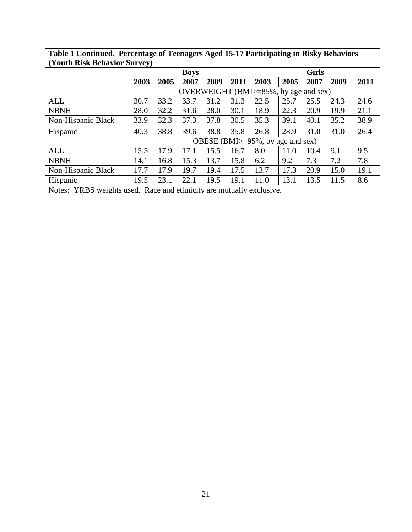| (Youth Risk Behavior Survey) |             |      |      |      |              |                                       |      |      |      |      |
|------------------------------|-------------|------|------|------|--------------|---------------------------------------|------|------|------|------|
|                              | <b>Boys</b> |      |      |      | <b>Girls</b> |                                       |      |      |      |      |
|                              | 2003        | 2005 | 2007 | 2009 | 2011         | 2003                                  | 2005 | 2007 | 2009 | 2011 |
|                              |             |      |      |      |              | OVERWEIGHT (BMI>=85%, by age and sex) |      |      |      |      |
| ALL                          | 30.7        | 33.2 | 33.7 | 31.2 | 31.3         | 22.5                                  | 25.7 | 25.5 | 24.3 | 24.6 |
| <b>NBNH</b>                  | 28.0        | 32.2 | 31.6 | 28.0 | 30.1         | 18.9                                  | 22.3 | 20.9 | 19.9 | 21.1 |
| Non-Hispanic Black           | 33.9        | 32.3 | 37.3 | 37.8 | 30.5         | 35.3                                  | 39.1 | 40.1 | 35.2 | 38.9 |
| Hispanic                     | 40.3        | 38.8 | 39.6 | 38.8 | 35.8         | 26.8                                  | 28.9 | 31.0 | 31.0 | 26.4 |
|                              |             |      |      |      |              | OBESE (BMI>=95%, by age and sex)      |      |      |      |      |
| <b>ALL</b>                   | 15.5        | 17.9 | 17.1 | 15.5 | 16.7         | 8.0                                   | 11.0 | 10.4 | 9.1  | 9.5  |
| <b>NBNH</b>                  | 14.1        | 16.8 | 15.3 | 13.7 | 15.8         | 6.2                                   | 9.2  | 7.3  | 7.2  | 7.8  |
| Non-Hispanic Black           | 17.7        | 17.9 | 19.7 | 19.4 | 17.5         | 13.7                                  | 17.3 | 20.9 | 15.0 | 19.1 |
| Hispanic                     | 19.5        | 23.1 | 22.1 | 19.5 | 19.1         | 11.0                                  | 13.1 | 13.5 | 11.5 | 8.6  |
|                              |             |      |      |      |              |                                       |      |      |      |      |

**Table 1 Continued. Percentage of Teenagers Aged 15-17 Participating in Risky Behaviors (Youth Risk Behavior Survey)**

Notes: YRBS weights used. Race and ethnicity are mutually exclusive.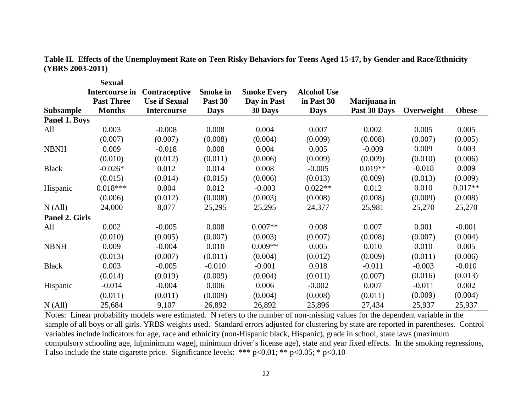|                  | <b>Sexual</b>     |                      |                 |                    |                    |              |            |              |
|------------------|-------------------|----------------------|-----------------|--------------------|--------------------|--------------|------------|--------------|
|                  | Intercourse in    | Contraceptive        | <b>Smoke in</b> | <b>Smoke Every</b> | <b>Alcohol Use</b> |              |            |              |
|                  | <b>Past Three</b> | <b>Use if Sexual</b> | Past 30         | Day in Past        | in Past 30         | Marijuana in |            |              |
| <b>Subsample</b> | <b>Months</b>     | <b>Intercourse</b>   | <b>Days</b>     | 30 Days            | <b>Days</b>        | Past 30 Days | Overweight | <b>Obese</b> |
| Panel 1. Boys    |                   |                      |                 |                    |                    |              |            |              |
| All              | 0.003             | $-0.008$             | 0.008           | 0.004              | 0.007              | 0.002        | 0.005      | 0.005        |
|                  | (0.007)           | (0.007)              | (0.008)         | (0.004)            | (0.009)            | (0.008)      | (0.007)    | (0.005)      |
| <b>NBNH</b>      | 0.009             | $-0.018$             | 0.008           | 0.004              | 0.005              | $-0.009$     | 0.009      | 0.003        |
|                  | (0.010)           | (0.012)              | (0.011)         | (0.006)            | (0.009)            | (0.009)      | (0.010)    | (0.006)      |
| <b>Black</b>     | $-0.026*$         | 0.012                | 0.014           | 0.008              | $-0.005$           | $0.019**$    | $-0.018$   | 0.009        |
|                  | (0.015)           | (0.014)              | (0.015)         | (0.006)            | (0.013)            | (0.009)      | (0.013)    | (0.009)      |
| Hispanic         | $0.018***$        | 0.004                | 0.012           | $-0.003$           | $0.022**$          | 0.012        | 0.010      | $0.017**$    |
|                  | (0.006)           | (0.012)              | (0.008)         | (0.003)            | (0.008)            | (0.008)      | (0.009)    | (0.008)      |
| N (All)          | 24,000            | 8,077                | 25,295          | 25,295             | 24,377             | 25,981       | 25,270     | 25,270       |
| Panel 2. Girls   |                   |                      |                 |                    |                    |              |            |              |
| All              | 0.002             | $-0.005$             | 0.008           | $0.007**$          | 0.008              | 0.007        | 0.001      | $-0.001$     |
|                  | (0.010)           | (0.005)              | (0.007)         | (0.003)            | (0.007)            | (0.008)      | (0.007)    | (0.004)      |
| <b>NBNH</b>      | 0.009             | $-0.004$             | 0.010           | $0.009**$          | 0.005              | 0.010        | 0.010      | 0.005        |
|                  | (0.013)           | (0.007)              | (0.011)         | (0.004)            | (0.012)            | (0.009)      | (0.011)    | (0.006)      |
| <b>Black</b>     | 0.003             | $-0.005$             | $-0.010$        | $-0.001$           | 0.018              | $-0.011$     | $-0.003$   | $-0.010$     |
|                  | (0.014)           | (0.019)              | (0.009)         | (0.004)            | (0.011)            | (0.007)      | (0.016)    | (0.013)      |
| Hispanic         | $-0.014$          | $-0.004$             | 0.006           | 0.006              | $-0.002$           | 0.007        | $-0.011$   | 0.002        |
|                  | (0.011)           | (0.011)              | (0.009)         | (0.004)            | (0.008)            | (0.011)      | (0.009)    | (0.004)      |
| N (All)          | 25,684            | 9,107                | 26,892          | 26,892             | 25,896             | 27,434       | 25,937     | 25,937       |

**Table II. Effects of the Unemployment Rate on Teen Risky Behaviors for Teens Aged 15-17, by Gender and Race/Ethnicity (YBRS 2003-2011)**

Notes: Linear probability models were estimated. N refers to the number of non-missing values for the dependent variable in the sample of all boys or all girls. YRBS weights used. Standard errors adjusted for clustering by state are reported in parentheses. Control variables include indicators for age, race and ethnicity (non-Hispanic black, Hispanic), grade in school, state laws (maximum compulsory schooling age, ln[minimum wage], minimum driver's license age), state and year fixed effects. In the smoking regressions, I also include the state cigarette price. Significance levels: \*\*\* p<0.01; \*\* p<0.05; \* p<0.10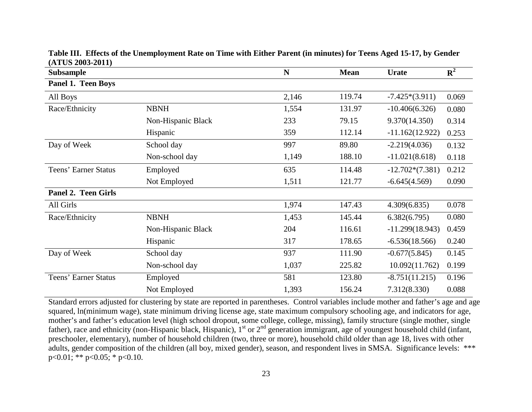| <b>Subsample</b>            |                    | $\mathbf N$ | <b>Mean</b> | <b>Urate</b>      | ${\bf R}^2$ |
|-----------------------------|--------------------|-------------|-------------|-------------------|-------------|
| Panel 1. Teen Boys          |                    |             |             |                   |             |
| All Boys                    |                    | 2,146       | 119.74      | $-7.425*(3.911)$  | 0.069       |
| Race/Ethnicity              | <b>NBNH</b>        | 1,554       | 131.97      | $-10.406(6.326)$  | 0.080       |
|                             | Non-Hispanic Black | 233         | 79.15       | 9.370(14.350)     | 0.314       |
|                             | Hispanic           | 359         | 112.14      | $-11.162(12.922)$ | 0.253       |
| Day of Week                 | School day         | 997         | 89.80       | $-2.219(4.036)$   | 0.132       |
|                             | Non-school day     | 1,149       | 188.10      | $-11.021(8.618)$  | 0.118       |
| Teens' Earner Status        | Employed           | 635         | 114.48      | $-12.702*(7.381)$ | 0.212       |
|                             | Not Employed       | 1,511       | 121.77      | $-6.645(4.569)$   | 0.090       |
| <b>Panel 2. Teen Girls</b>  |                    |             |             |                   |             |
| All Girls                   |                    | 1,974       | 147.43      | 4.309(6.835)      | 0.078       |
| Race/Ethnicity              | <b>NBNH</b>        | 1,453       | 145.44      | 6.382(6.795)      | 0.080       |
|                             | Non-Hispanic Black | 204         | 116.61      | $-11.299(18.943)$ | 0.459       |
|                             | Hispanic           | 317         | 178.65      | $-6.536(18.566)$  | 0.240       |
| Day of Week                 | School day         | 937         | 111.90      | $-0.677(5.845)$   | 0.145       |
|                             | Non-school day     | 1,037       | 225.82      | 10.092(11.762)    | 0.199       |
| <b>Teens' Earner Status</b> | Employed           | 581         | 123.80      | $-8.751(11.215)$  | 0.196       |
|                             | Not Employed       | 1,393       | 156.24      | 7.312(8.330)      | 0.088       |

**Table III. Effects of the Unemployment Rate on Time with Either Parent (in minutes) for Teens Aged 15-17, by Gender (ATUS 2003-2011)**

Standard errors adjusted for clustering by state are reported in parentheses. Control variables include mother and father's age and age squared, ln(minimum wage), state minimum driving license age, state maximum compulsory schooling age, and indicators for age, mother's and father's education level (high school dropout, some college, college, missing), family structure (single mother, single father), race and ethnicity (non-Hispanic black, Hispanic),  $1<sup>st</sup>$  or  $2<sup>nd</sup>$  generation immigrant, age of youngest household child (infant, preschooler, elementary), number of household children (two, three or more), household child older than age 18, lives with other adults, gender composition of the children (all boy, mixed gender), season, and respondent lives in SMSA. Significance levels: \*\*\* p<0.01; \*\* p<0.05; \* p<0.10.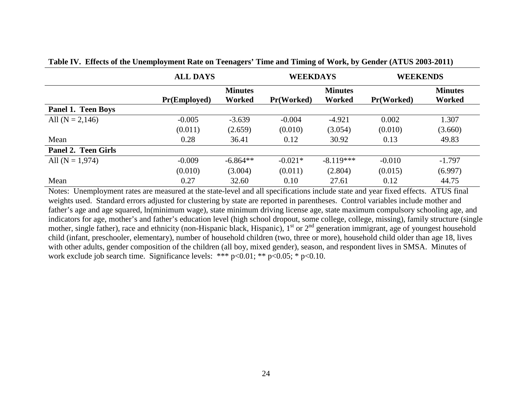|                           | <b>ALL DAYS</b>     |                | <b>WEEKDAYS</b>   |                | <b>WEEKENDS</b>   |                |
|---------------------------|---------------------|----------------|-------------------|----------------|-------------------|----------------|
|                           |                     | <b>Minutes</b> |                   | <b>Minutes</b> |                   | <b>Minutes</b> |
|                           | <b>Pr(Employed)</b> | Worked         | <b>Pr(Worked)</b> | <b>Worked</b>  | <b>Pr(Worked)</b> | Worked         |
| <b>Panel 1. Teen Boys</b> |                     |                |                   |                |                   |                |
| All $(N = 2,146)$         | $-0.005$            | $-3.639$       | $-0.004$          | $-4.921$       | 0.002             | 1.307          |
|                           | (0.011)             | (2.659)        | (0.010)           | (3.054)        | (0.010)           | (3.660)        |
| Mean                      | 0.28                | 36.41          | 0.12              | 30.92          | 0.13              | 49.83          |
| Panel 2. Teen Girls       |                     |                |                   |                |                   |                |
| All $(N = 1,974)$         | $-0.009$            | $-6.864**$     | $-0.021*$         | $-8.119***$    | $-0.010$          | $-1.797$       |
|                           | (0.010)             | (3.004)        | (0.011)           | (2.804)        | (0.015)           | (6.997)        |
| Mean                      | 0.27                | 32.60          | 0.10              | 27.61          | 0.12              | 44.75          |

**Table IV. Effects of the Unemployment Rate on Teenagers' Time and Timing of Work, by Gender (ATUS 2003-2011)** 

Notes: Unemployment rates are measured at the state-level and all specifications include state and year fixed effects. ATUS final weights used. Standard errors adjusted for clustering by state are reported in parentheses. Control variables include mother and father's age and age squared, ln(minimum wage), state minimum driving license age, state maximum compulsory schooling age, and indicators for age, mother's and father's education level (high school dropout, some college, college, missing), family structure (single mother, single father), race and ethnicity (non-Hispanic black, Hispanic),  $1<sup>st</sup>$  or  $2<sup>nd</sup>$  generation immigrant, age of youngest household child (infant, preschooler, elementary), number of household children (two, three or more), household child older than age 18, lives with other adults, gender composition of the children (all boy, mixed gender), season, and respondent lives in SMSA. Minutes of work exclude job search time. Significance levels: \*\*\* p<0.01; \*\* p<0.05; \* p<0.10.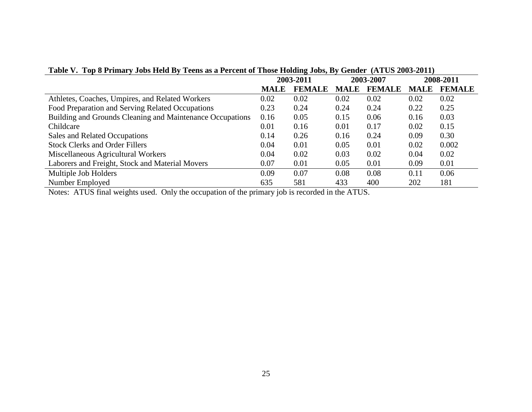| Table V. Top 8 Printary Jobs Held by Teens as a Percent of Those Holding Jobs, by Gender (ATUS 2003-2011) |             |               |             |               |             |               |  |
|-----------------------------------------------------------------------------------------------------------|-------------|---------------|-------------|---------------|-------------|---------------|--|
|                                                                                                           | 2003-2011   |               | 2003-2007   |               |             | 2008-2011     |  |
|                                                                                                           | <b>MALE</b> | <b>FEMALE</b> | <b>MALE</b> | <b>FEMALE</b> | <b>MALE</b> | <b>FEMALE</b> |  |
| Athletes, Coaches, Umpires, and Related Workers                                                           | 0.02        | 0.02          | 0.02        | 0.02          | 0.02        | 0.02          |  |
| Food Preparation and Serving Related Occupations                                                          | 0.23        | 0.24          | 0.24        | 0.24          | 0.22        | 0.25          |  |
| Building and Grounds Cleaning and Maintenance Occupations                                                 | 0.16        | 0.05          | 0.15        | 0.06          | 0.16        | 0.03          |  |
| Childcare                                                                                                 | 0.01        | 0.16          | 0.01        | 0.17          | 0.02        | 0.15          |  |
| Sales and Related Occupations                                                                             | 0.14        | 0.26          | 0.16        | 0.24          | 0.09        | 0.30          |  |
| <b>Stock Clerks and Order Fillers</b>                                                                     | 0.04        | 0.01          | 0.05        | 0.01          | 0.02        | 0.002         |  |
| Miscellaneous Agricultural Workers                                                                        | 0.04        | 0.02          | 0.03        | 0.02          | 0.04        | 0.02          |  |
| Laborers and Freight, Stock and Material Movers                                                           | 0.07        | 0.01          | 0.05        | 0.01          | 0.09        | 0.01          |  |
| Multiple Job Holders                                                                                      | 0.09        | 0.07          | 0.08        | 0.08          | 0.11        | 0.06          |  |
| Number Employed                                                                                           | 635         | 581           | 433         | 400           | 202         | 181           |  |

**Table V. Top 8 Primary Jobs Held By Teens as a Percent of Those Holding Jobs, By Gender (ATUS 2003-2011)**

Notes: ATUS final weights used. Only the occupation of the primary job is recorded in the ATUS.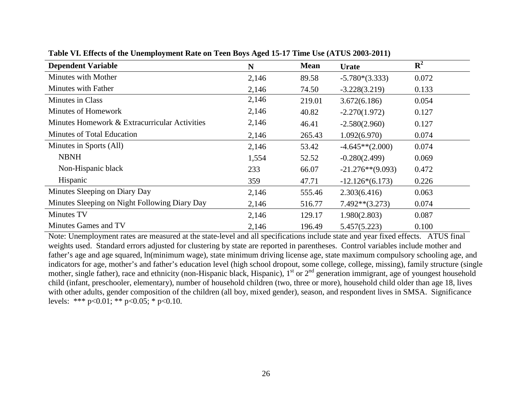| <b>Dependent Variable</b>                     | N     | <b>Mean</b> | <b>Urate</b>        | ${\bf R}^2$ |
|-----------------------------------------------|-------|-------------|---------------------|-------------|
| Minutes with Mother                           | 2,146 | 89.58       | $-5.780*(3.333)$    | 0.072       |
| Minutes with Father                           | 2,146 | 74.50       | $-3.228(3.219)$     | 0.133       |
| <b>Minutes in Class</b>                       | 2,146 | 219.01      | 3.672(6.186)        | 0.054       |
| Minutes of Homework                           | 2,146 | 40.82       | $-2.270(1.972)$     | 0.127       |
| Minutes Homework & Extracurricular Activities | 2,146 | 46.41       | $-2.580(2.960)$     | 0.127       |
| Minutes of Total Education                    | 2,146 | 265.43      | 1.092(6.970)        | 0.074       |
| Minutes in Sports (All)                       | 2,146 | 53.42       | $-4.645**$ (2.000)  | 0.074       |
| <b>NBNH</b>                                   | 1,554 | 52.52       | $-0.280(2.499)$     | 0.069       |
| Non-Hispanic black                            | 233   | 66.07       | $-21.276**$ (9.093) | 0.472       |
| Hispanic                                      | 359   | 47.71       | $-12.126*(6.173)$   | 0.226       |
| Minutes Sleeping on Diary Day                 | 2,146 | 555.46      | 2.303(6.416)        | 0.063       |
| Minutes Sleeping on Night Following Diary Day | 2,146 | 516.77      | $7.492**$ (3.273)   | 0.074       |
| Minutes TV                                    | 2,146 | 129.17      | 1.980(2.803)        | 0.087       |
| Minutes Games and TV                          | 2,146 | 196.49      | 5.457(5.223)        | 0.100       |

**Table VI. Effects of the Unemployment Rate on Teen Boys Aged 15-17 Time Use (ATUS 2003-2011)**

Note: Unemployment rates are measured at the state-level and all specifications include state and year fixed effects. ATUS final weights used. Standard errors adjusted for clustering by state are reported in parentheses. Control variables include mother and father's age and age squared, ln(minimum wage), state minimum driving license age, state maximum compulsory schooling age, and indicators for age, mother's and father's education level (high school dropout, some college, college, missing), family structure (single mother, single father), race and ethnicity (non-Hispanic black, Hispanic), 1<sup>st</sup> or 2<sup>nd</sup> generation immigrant, age of youngest household child (infant, preschooler, elementary), number of household children (two, three or more), household child older than age 18, lives with other adults, gender composition of the children (all boy, mixed gender), season, and respondent lives in SMSA. Significance levels: \*\*\*  $p<0.01$ ; \*\*  $p<0.05$ ; \*  $p<0.10$ .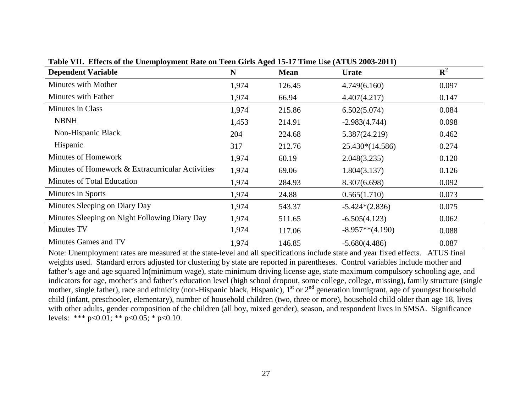| <b>Dependent Variable</b>                        | $\mathbf N$ | $\mathbf{\sigma}$<br><b>Mean</b> | <b>Urate</b>       | ${\bf R}^2$ |
|--------------------------------------------------|-------------|----------------------------------|--------------------|-------------|
| Minutes with Mother                              | 1,974       | 126.45                           | 4.749(6.160)       | 0.097       |
| Minutes with Father                              | 1,974       | 66.94                            | 4.407(4.217)       | 0.147       |
| <b>Minutes in Class</b>                          | 1,974       | 215.86                           | 6.502(5.074)       | 0.084       |
| <b>NBNH</b>                                      | 1,453       | 214.91                           | $-2.983(4.744)$    | 0.098       |
| Non-Hispanic Black                               | 204         | 224.68                           | 5.387(24.219)      | 0.462       |
| Hispanic                                         | 317         | 212.76                           | 25.430*(14.586)    | 0.274       |
| Minutes of Homework                              | 1,974       | 60.19                            | 2.048(3.235)       | 0.120       |
| Minutes of Homework & Extracurricular Activities | 1,974       | 69.06                            | 1.804(3.137)       | 0.126       |
| <b>Minutes of Total Education</b>                | 1,974       | 284.93                           | 8.307(6.698)       | 0.092       |
| Minutes in Sports                                | 1,974       | 24.88                            | 0.565(1.710)       | 0.073       |
| Minutes Sleeping on Diary Day                    | 1,974       | 543.37                           | $-5.424*(2.836)$   | 0.075       |
| Minutes Sleeping on Night Following Diary Day    | 1,974       | 511.65                           | $-6.505(4.123)$    | 0.062       |
| <b>Minutes TV</b>                                | 1,974       | 117.06                           | $-8.957**$ (4.190) | 0.088       |
| Minutes Games and TV                             | 1,974       | 146.85                           | $-5.680(4.486)$    | 0.087       |

**Table VII. Effects of the Unemployment Rate on Teen Girls Aged 15-17 Time Use (ATUS 2003-2011)**

Note: Unemployment rates are measured at the state-level and all specifications include state and year fixed effects. ATUS final weights used. Standard errors adjusted for clustering by state are reported in parentheses. Control variables include mother and father's age and age squared ln(minimum wage), state minimum driving license age, state maximum compulsory schooling age, and indicators for age, mother's and father's education level (high school dropout, some college, college, missing), family structure (single mother, single father), race and ethnicity (non-Hispanic black, Hispanic), 1<sup>st</sup> or 2<sup>nd</sup> generation immigrant, age of youngest household child (infant, preschooler, elementary), number of household children (two, three or more), household child older than age 18, lives with other adults, gender composition of the children (all boy, mixed gender), season, and respondent lives in SMSA. Significance levels: \*\*\*  $p<0.01$ ; \*\*  $p<0.05$ ; \*  $p<0.10$ .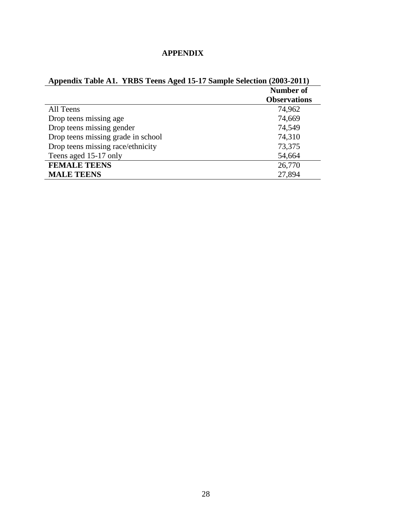| <b>APPENDIX</b> |  |
|-----------------|--|
|                 |  |

| Appendix Table A1. YRBS Teens Aged 15-17 Sample Selection (2003-2011) |                     |
|-----------------------------------------------------------------------|---------------------|
|                                                                       | <b>Number of</b>    |
|                                                                       | <b>Observations</b> |
| All Teens                                                             | 74,962              |
| Drop teens missing age                                                | 74,669              |
| Drop teens missing gender                                             | 74,549              |
| Drop teens missing grade in school                                    | 74,310              |
| Drop teens missing race/ethnicity                                     | 73,375              |
| Teens aged 15-17 only                                                 | 54,664              |
| <b>FEMALE TEENS</b>                                                   | 26,770              |
| <b>MALE TEENS</b>                                                     | 27,894              |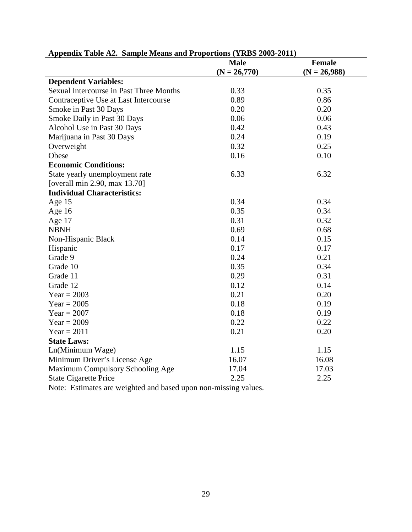|                                                | <b>Male</b>    | <b>Female</b>  |
|------------------------------------------------|----------------|----------------|
|                                                | $(N = 26,770)$ | $(N = 26,988)$ |
| <b>Dependent Variables:</b>                    |                |                |
| <b>Sexual Intercourse in Past Three Months</b> | 0.33           | 0.35           |
| Contraceptive Use at Last Intercourse          | 0.89           | 0.86           |
| Smoke in Past 30 Days                          | 0.20           | 0.20           |
| Smoke Daily in Past 30 Days                    | 0.06           | 0.06           |
| Alcohol Use in Past 30 Days                    | 0.42           | 0.43           |
| Marijuana in Past 30 Days                      | 0.24           | 0.19           |
| Overweight                                     | 0.32           | 0.25           |
| Obese                                          | 0.16           | 0.10           |
| <b>Economic Conditions:</b>                    |                |                |
| State yearly unemployment rate                 | 6.33           | 6.32           |
| [overall min 2.90, max 13.70]                  |                |                |
| <b>Individual Characteristics:</b>             |                |                |
| Age $15$                                       | 0.34           | 0.34           |
| Age $16$                                       | 0.35           | 0.34           |
| Age 17                                         | 0.31           | 0.32           |
| <b>NBNH</b>                                    | 0.69           | 0.68           |
| Non-Hispanic Black                             | 0.14           | 0.15           |
| Hispanic                                       | 0.17           | 0.17           |
| Grade 9                                        | 0.24           | 0.21           |
| Grade 10                                       | 0.35           | 0.34           |
| Grade 11                                       | 0.29           | 0.31           |
| Grade 12                                       | 0.12           | 0.14           |
| $Year = 2003$                                  | 0.21           | 0.20           |
| $Year = 2005$                                  | 0.18           | 0.19           |
| $Year = 2007$                                  | 0.18           | 0.19           |
| $Year = 2009$                                  | 0.22           | 0.22           |
| Year = $2011$                                  | 0.21           | 0.20           |
| <b>State Laws:</b>                             |                |                |
| Ln(Minimum Wage)                               | 1.15           | 1.15           |
| Minimum Driver's License Age                   | 16.07          | 16.08          |
| Maximum Compulsory Schooling Age               | 17.04          | 17.03          |
| <b>State Cigarette Price</b>                   | 2.25           | 2.25           |

### **Appendix Table A2. Sample Means and Proportions (YRBS 2003-2011)**

Note: Estimates are weighted and based upon non-missing values.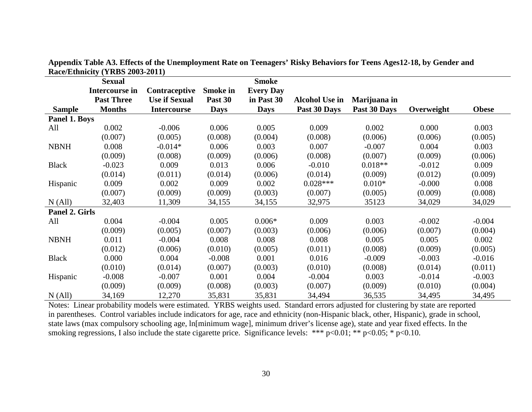|                | $\frac{1}{2}$<br><b>Sexual</b> |                      |                 | <b>Smoke</b>     |                       |              |            |              |
|----------------|--------------------------------|----------------------|-----------------|------------------|-----------------------|--------------|------------|--------------|
|                | Intercourse in                 | Contraceptive        | <b>Smoke in</b> | <b>Every Day</b> |                       |              |            |              |
|                | <b>Past Three</b>              | <b>Use if Sexual</b> | Past 30         | in Past 30       | <b>Alcohol Use in</b> | Marijuana in |            |              |
| <b>Sample</b>  | <b>Months</b>                  | <b>Intercourse</b>   | <b>Days</b>     | <b>Days</b>      | Past 30 Days          | Past 30 Days | Overweight | <b>Obese</b> |
| Panel 1. Boys  |                                |                      |                 |                  |                       |              |            |              |
| All            | 0.002                          | $-0.006$             | 0.006           | 0.005            | 0.009                 | 0.002        | 0.000      | 0.003        |
|                | (0.007)                        | (0.005)              | (0.008)         | (0.004)          | (0.008)               | (0.006)      | (0.006)    | (0.005)      |
| <b>NBNH</b>    | 0.008                          | $-0.014*$            | 0.006           | 0.003            | 0.007                 | $-0.007$     | 0.004      | 0.003        |
|                | (0.009)                        | (0.008)              | (0.009)         | (0.006)          | (0.008)               | (0.007)      | (0.009)    | (0.006)      |
| <b>Black</b>   | $-0.023$                       | 0.009                | 0.013           | 0.006            | $-0.010$              | $0.018**$    | $-0.012$   | 0.009        |
|                | (0.014)                        | (0.011)              | (0.014)         | (0.006)          | (0.014)               | (0.009)      | (0.012)    | (0.009)      |
| Hispanic       | 0.009                          | 0.002                | 0.009           | 0.002            | $0.028***$            | $0.010*$     | $-0.000$   | 0.008        |
|                | (0.007)                        | (0.009)              | (0.009)         | (0.003)          | (0.007)               | (0.005)      | (0.009)    | (0.008)      |
| N (All)        | 32,403                         | 11,309               | 34,155          | 34,155           | 32,975                | 35123        | 34,029     | 34,029       |
| Panel 2. Girls |                                |                      |                 |                  |                       |              |            |              |
| All            | 0.004                          | $-0.004$             | 0.005           | $0.006*$         | 0.009                 | 0.003        | $-0.002$   | $-0.004$     |
|                | (0.009)                        | (0.005)              | (0.007)         | (0.003)          | (0.006)               | (0.006)      | (0.007)    | (0.004)      |
| <b>NBNH</b>    | 0.011                          | $-0.004$             | 0.008           | 0.008            | 0.008                 | 0.005        | 0.005      | 0.002        |
|                | (0.012)                        | (0.006)              | (0.010)         | (0.005)          | (0.011)               | (0.008)      | (0.009)    | (0.005)      |
| <b>Black</b>   | 0.000                          | 0.004                | $-0.008$        | 0.001            | 0.016                 | $-0.009$     | $-0.003$   | $-0.016$     |
|                | (0.010)                        | (0.014)              | (0.007)         | (0.003)          | (0.010)               | (0.008)      | (0.014)    | (0.011)      |
| Hispanic       | $-0.008$                       | $-0.007$             | 0.001           | 0.004            | $-0.004$              | 0.003        | $-0.014$   | $-0.003$     |
|                | (0.009)                        | (0.009)              | (0.008)         | (0.003)          | (0.007)               | (0.009)      | (0.010)    | (0.004)      |
| N (All)        | 34,169                         | 12,270               | 35,831          | 35,831           | 34,494                | 36,535       | 34,495     | 34,495       |

**Appendix Table A3. Effects of the Unemployment Rate on Teenagers' Risky Behaviors for Teens Ages12-18, by Gender and Race/Ethnicity (YRBS 2003-2011)**

Notes: Linear probability models were estimated. YRBS weights used. Standard errors adjusted for clustering by state are reported in parentheses. Control variables include indicators for age, race and ethnicity (non-Hispanic black, other, Hispanic), grade in school, state laws (max compulsory schooling age, ln[minimum wage], minimum driver's license age), state and year fixed effects. In the smoking regressions, I also include the state cigarette price. Significance levels: \*\*\*  $p<0.01$ ; \*\*  $p<0.05$ ; \*  $p<0.10$ .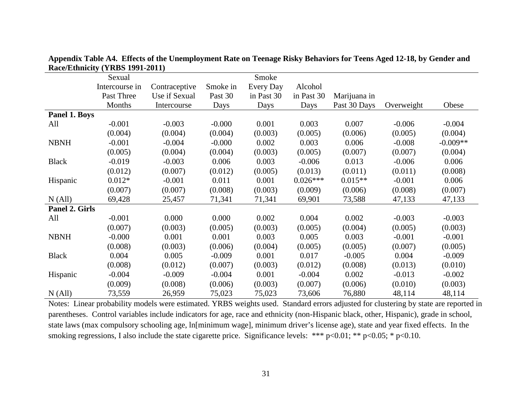| $\bf K$ acc/ $\bf E$ thincity (TRDS 1221-2011) |                |               |          |            |            |              |            |            |
|------------------------------------------------|----------------|---------------|----------|------------|------------|--------------|------------|------------|
|                                                | Sexual         |               |          | Smoke      |            |              |            |            |
|                                                | Intercourse in | Contraceptive | Smoke in | Every Day  | Alcohol    |              |            |            |
|                                                | Past Three     | Use if Sexual | Past 30  | in Past 30 | in Past 30 | Marijuana in |            |            |
|                                                | Months         | Intercourse   | Days     | Days       | Days       | Past 30 Days | Overweight | Obese      |
| Panel 1. Boys                                  |                |               |          |            |            |              |            |            |
| All                                            | $-0.001$       | $-0.003$      | $-0.000$ | 0.001      | 0.003      | 0.007        | $-0.006$   | $-0.004$   |
|                                                | (0.004)        | (0.004)       | (0.004)  | (0.003)    | (0.005)    | (0.006)      | (0.005)    | (0.004)    |
| <b>NBNH</b>                                    | $-0.001$       | $-0.004$      | $-0.000$ | 0.002      | 0.003      | 0.006        | $-0.008$   | $-0.009**$ |
|                                                | (0.005)        | (0.004)       | (0.004)  | (0.003)    | (0.005)    | (0.007)      | (0.007)    | (0.004)    |
| <b>Black</b>                                   | $-0.019$       | $-0.003$      | 0.006    | 0.003      | $-0.006$   | 0.013        | $-0.006$   | 0.006      |
|                                                | (0.012)        | (0.007)       | (0.012)  | (0.005)    | (0.013)    | (0.011)      | (0.011)    | (0.008)    |
| Hispanic                                       | $0.012*$       | $-0.001$      | 0.011    | 0.001      | $0.026***$ | $0.015**$    | $-0.001$   | 0.006      |
|                                                | (0.007)        | (0.007)       | (0.008)  | (0.003)    | (0.009)    | (0.006)      | (0.008)    | (0.007)    |
| N (All)                                        | 69,428         | 25,457        | 71,341   | 71,341     | 69,901     | 73,588       | 47,133     | 47,133     |
| Panel 2. Girls                                 |                |               |          |            |            |              |            |            |
| All                                            | $-0.001$       | 0.000         | 0.000    | 0.002      | 0.004      | 0.002        | $-0.003$   | $-0.003$   |
|                                                | (0.007)        | (0.003)       | (0.005)  | (0.003)    | (0.005)    | (0.004)      | (0.005)    | (0.003)    |
| <b>NBNH</b>                                    | $-0.000$       | 0.001         | 0.001    | 0.003      | 0.005      | 0.003        | $-0.001$   | $-0.001$   |
|                                                | (0.008)        | (0.003)       | (0.006)  | (0.004)    | (0.005)    | (0.005)      | (0.007)    | (0.005)    |
| <b>Black</b>                                   | 0.004          | 0.005         | $-0.009$ | 0.001      | 0.017      | $-0.005$     | 0.004      | $-0.009$   |
|                                                | (0.008)        | (0.012)       | (0.007)  | (0.003)    | (0.012)    | (0.008)      | (0.013)    | (0.010)    |
| Hispanic                                       | $-0.004$       | $-0.009$      | $-0.004$ | 0.001      | $-0.004$   | 0.002        | $-0.013$   | $-0.002$   |
|                                                | (0.009)        | (0.008)       | (0.006)  | (0.003)    | (0.007)    | (0.006)      | (0.010)    | (0.003)    |
| N (All)                                        | 73,559         | 26,959        | 75,023   | 75,023     | 73,606     | 76,880       | 48,114     | 48,114     |

**Appendix Table A4. Effects of the Unemployment Rate on Teenage Risky Behaviors for Teens Aged 12-18, by Gender and Race/Ethnicity (YRBS 1991-2011)**

Notes: Linear probability models were estimated. YRBS weights used. Standard errors adjusted for clustering by state are reported in parentheses. Control variables include indicators for age, race and ethnicity (non-Hispanic black, other, Hispanic), grade in school, state laws (max compulsory schooling age, ln[minimum wage], minimum driver's license age), state and year fixed effects. In the smoking regressions, I also include the state cigarette price. Significance levels: \*\*\*  $p<0.01$ ; \*\*  $p<0.05$ ; \*  $p<0.10$ .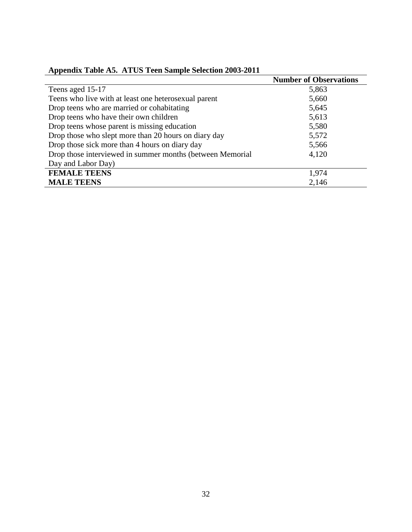|                                                           | <b>Number of Observations</b> |
|-----------------------------------------------------------|-------------------------------|
| Teens aged 15-17                                          | 5,863                         |
| Teens who live with at least one heterosexual parent      | 5,660                         |
| Drop teens who are married or cohabitating                | 5,645                         |
| Drop teens who have their own children                    | 5,613                         |
| Drop teens whose parent is missing education              | 5,580                         |
| Drop those who slept more than 20 hours on diary day      | 5,572                         |
| Drop those sick more than 4 hours on diary day            | 5,566                         |
| Drop those interviewed in summer months (between Memorial | 4,120                         |
| Day and Labor Day)                                        |                               |
| <b>FEMALE TEENS</b>                                       | 1,974                         |
| <b>MALE TEENS</b>                                         | 2,146                         |

#### **Appendix Table A5. ATUS Teen Sample Selection 2003-2011**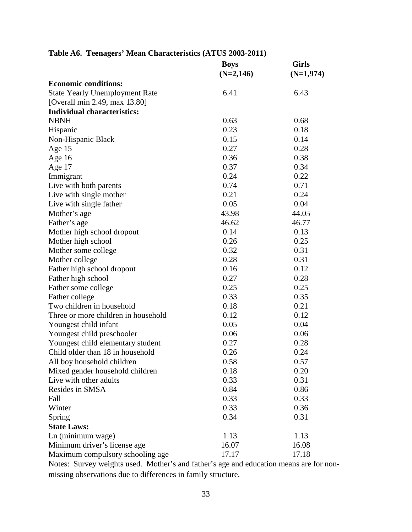|                                       | <b>Boys</b> | <b>Girls</b> |
|---------------------------------------|-------------|--------------|
|                                       | $(N=2,146)$ | $(N=1,974)$  |
| <b>Economic conditions:</b>           |             |              |
| <b>State Yearly Unemployment Rate</b> | 6.41        | 6.43         |
| [Overall min 2.49, max 13.80]         |             |              |
| <b>Individual characteristics:</b>    |             |              |
| <b>NBNH</b>                           | 0.63        | 0.68         |
| Hispanic                              | 0.23        | 0.18         |
| Non-Hispanic Black                    | 0.15        | 0.14         |
| Age $15$                              | 0.27        | 0.28         |
| Age $16$                              | 0.36        | 0.38         |
| Age 17                                | 0.37        | 0.34         |
| Immigrant                             | 0.24        | 0.22         |
| Live with both parents                | 0.74        | 0.71         |
| Live with single mother               | 0.21        | 0.24         |
| Live with single father               | 0.05        | 0.04         |
| Mother's age                          | 43.98       | 44.05        |
| Father's age                          | 46.62       | 46.77        |
| Mother high school dropout            | 0.14        | 0.13         |
| Mother high school                    | 0.26        | 0.25         |
| Mother some college                   | 0.32        | 0.31         |
| Mother college                        | 0.28        | 0.31         |
| Father high school dropout            | 0.16        | 0.12         |
| Father high school                    | 0.27        | 0.28         |
| Father some college                   | 0.25        | 0.25         |
| Father college                        | 0.33        | 0.35         |
| Two children in household             | 0.18        | 0.21         |
| Three or more children in household   | 0.12        | 0.12         |
| Youngest child infant                 | 0.05        | 0.04         |
| Youngest child preschooler            | 0.06        | 0.06         |
| Youngest child elementary student     | 0.27        | 0.28         |
| Child older than 18 in household      | 0.26        | 0.24         |
| All boy household children            | 0.58        | 0.57         |
| Mixed gender household children       | 0.18        | 0.20         |
| Live with other adults                | 0.33        | 0.31         |
| Resides in SMSA                       | 0.84        | 0.86         |
| Fall                                  | 0.33        | 0.33         |
| Winter                                | 0.33        | 0.36         |
| Spring                                | 0.34        | 0.31         |
| <b>State Laws:</b>                    |             |              |
| Ln (minimum wage)                     | 1.13        | 1.13         |
| Minimum driver's license age          | 16.07       | 16.08        |
| Maximum compulsory schooling age      | 17.17       | 17.18        |

### **Table A6. Teenagers' Mean Characteristics (ATUS 2003-2011)**

Notes: Survey weights used. Mother's and father's age and education means are for nonmissing observations due to differences in family structure.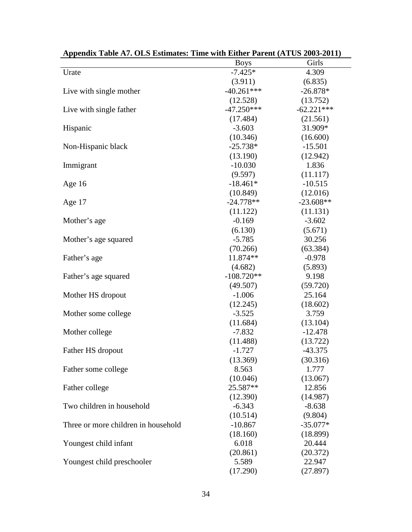|                                     | <b>Boys</b>  | Girls        |
|-------------------------------------|--------------|--------------|
| Urate                               | $-7.425*$    | 4.309        |
|                                     | (3.911)      | (6.835)      |
| Live with single mother             | $-40.261***$ | $-26.878*$   |
|                                     | (12.528)     | (13.752)     |
| Live with single father             | $-47.250***$ | $-62.221***$ |
|                                     | (17.484)     | (21.561)     |
| Hispanic                            | $-3.603$     | 31.909*      |
|                                     | (10.346)     | (16.600)     |
| Non-Hispanic black                  | $-25.738*$   | $-15.501$    |
|                                     | (13.190)     | (12.942)     |
| Immigrant                           | $-10.030$    | 1.836        |
|                                     | (9.597)      | (11.117)     |
| Age $16$                            | $-18.461*$   | $-10.515$    |
|                                     | (10.849)     | (12.016)     |
| Age 17                              | $-24.778**$  | $-23.608**$  |
|                                     | (11.122)     | (11.131)     |
| Mother's age                        | $-0.169$     | $-3.602$     |
|                                     | (6.130)      | (5.671)      |
| Mother's age squared                | $-5.785$     | 30.256       |
|                                     | (70.266)     | (63.384)     |
| Father's age                        | 11.874**     | $-0.978$     |
|                                     | (4.682)      | (5.893)      |
| Father's age squared                | $-108.720**$ | 9.198        |
|                                     | (49.507)     | (59.720)     |
| Mother HS dropout                   | $-1.006$     | 25.164       |
|                                     | (12.245)     | (18.602)     |
| Mother some college                 | $-3.525$     | 3.759        |
|                                     | (11.684)     | (13.104)     |
| Mother college                      | $-7.832$     | $-12.478$    |
|                                     | (11.488)     | (13.722)     |
| Father HS dropout                   | $-1.727$     | $-43.375$    |
|                                     | (13.369)     | (30.316)     |
| Father some college                 | 8.563        | 1.777        |
|                                     | (10.046)     | (13.067)     |
| Father college                      | 25.587**     | 12.856       |
|                                     | (12.390)     | (14.987)     |
| Two children in household           | $-6.343$     | $-8.638$     |
|                                     | (10.514)     | (9.804)      |
| Three or more children in household | $-10.867$    | $-35.077*$   |
|                                     | (18.160)     | (18.899)     |
| Youngest child infant               | 6.018        | 20.444       |
|                                     | (20.861)     | (20.372)     |
| Youngest child preschooler          | 5.589        | 22.947       |
|                                     | (17.290)     | (27.897)     |
|                                     |              |              |

| Appendix Table A7. OLS Estimates: Time with Either Parent (ATUS 2003-2011) |  |  |
|----------------------------------------------------------------------------|--|--|
|----------------------------------------------------------------------------|--|--|